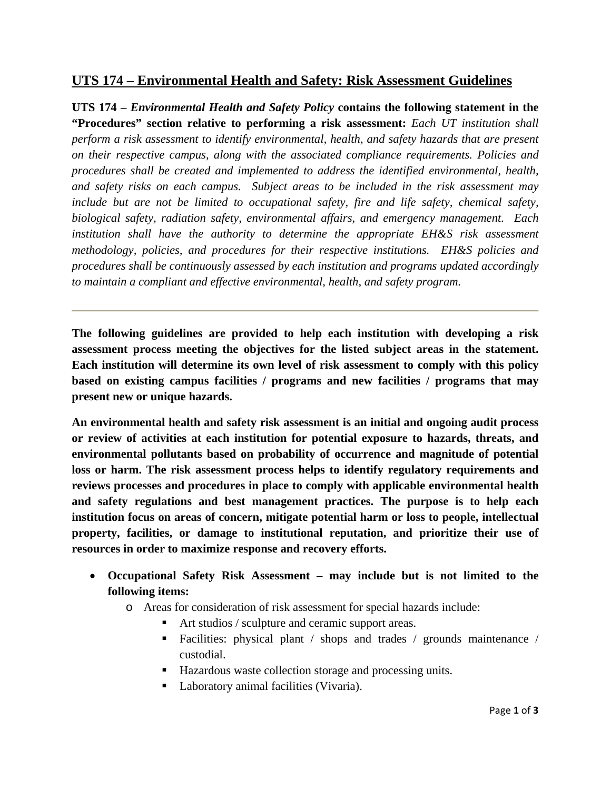## **UTS 174 – Environmental Health and Safety: Risk Assessment Guidelines**

**UTS 174 –** *Environmental Health and Safety Policy* **contains the following statement in the "Procedures" section relative to performing a risk assessment:** *Each UT institution shall perform a risk assessment to identify environmental, health, and safety hazards that are present on their respective campus, along with the associated compliance requirements. Policies and procedures shall be created and implemented to address the identified environmental, health, and safety risks on each campus. Subject areas to be included in the risk assessment may include but are not be limited to occupational safety, fire and life safety, chemical safety, biological safety, radiation safety, environmental affairs, and emergency management. Each institution shall have the authority to determine the appropriate EH&S risk assessment methodology, policies, and procedures for their respective institutions. EH&S policies and procedures shall be continuously assessed by each institution and programs updated accordingly to maintain a compliant and effective environmental, health, and safety program.*

**The following guidelines are provided to help each institution with developing a risk assessment process meeting the objectives for the listed subject areas in the statement. Each institution will determine its own level of risk assessment to comply with this policy based on existing campus facilities / programs and new facilities / programs that may present new or unique hazards.** 

**An environmental health and safety risk assessment is an initial and ongoing audit process or review of activities at each institution for potential exposure to hazards, threats, and environmental pollutants based on probability of occurrence and magnitude of potential loss or harm. The risk assessment process helps to identify regulatory requirements and reviews processes and procedures in place to comply with applicable environmental health and safety regulations and best management practices. The purpose is to help each institution focus on areas of concern, mitigate potential harm or loss to people, intellectual property, facilities, or damage to institutional reputation, and prioritize their use of resources in order to maximize response and recovery efforts.** 

- **Occupational Safety Risk Assessment may include but is not limited to the following items:** 
	- o Areas for consideration of risk assessment for special hazards include:
		- Art studios / sculpture and ceramic support areas.
		- Facilities: physical plant / shops and trades / grounds maintenance / custodial.
		- Hazardous waste collection storage and processing units.
		- Laboratory animal facilities (Vivaria).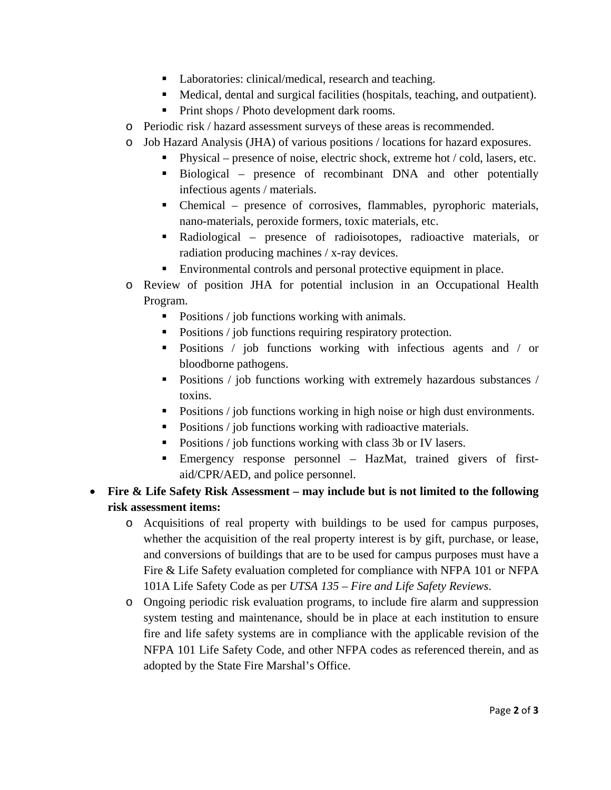- Laboratories: clinical/medical, research and teaching.
- Medical, dental and surgical facilities (hospitals, teaching, and outpatient).
- Print shops / Photo development dark rooms.
- o Periodic risk / hazard assessment surveys of these areas is recommended.
- o Job Hazard Analysis (JHA) of various positions / locations for hazard exposures.
	- **Physical** presence of noise, electric shock, extreme hot  $\prime$  cold, lasers, etc.
		- Biological presence of recombinant DNA and other potentially infectious agents / materials.
		- Chemical presence of corrosives, flammables, pyrophoric materials, nano-materials, peroxide formers, toxic materials, etc.
		- Radiological presence of radioisotopes, radioactive materials, or radiation producing machines / x-ray devices.
		- Environmental controls and personal protective equipment in place.
- o Review of position JHA for potential inclusion in an Occupational Health Program.
	- Positions / job functions working with animals.
	- Positions / job functions requiring respiratory protection.
	- Positions / job functions working with infectious agents and / or bloodborne pathogens.
	- Positions / job functions working with extremely hazardous substances / toxins.
	- Positions / job functions working in high noise or high dust environments.
	- Positions / job functions working with radioactive materials.
	- Positions / job functions working with class 3b or IV lasers.
	- Emergency response personnel HazMat, trained givers of firstaid/CPR/AED, and police personnel.
- **Fire & Life Safety Risk Assessment may include but is not limited to the following risk assessment items:** 
	- o Acquisitions of real property with buildings to be used for campus purposes, whether the acquisition of the real property interest is by gift, purchase, or lease, and conversions of buildings that are to be used for campus purposes must have a Fire & Life Safety evaluation completed for compliance with NFPA 101 or NFPA 101A Life Safety Code as per *UTSA 135 – Fire and Life Safety Reviews*.
	- o Ongoing periodic risk evaluation programs, to include fire alarm and suppression system testing and maintenance, should be in place at each institution to ensure fire and life safety systems are in compliance with the applicable revision of the NFPA 101 Life Safety Code, and other NFPA codes as referenced therein, and as adopted by the State Fire Marshal's Office.